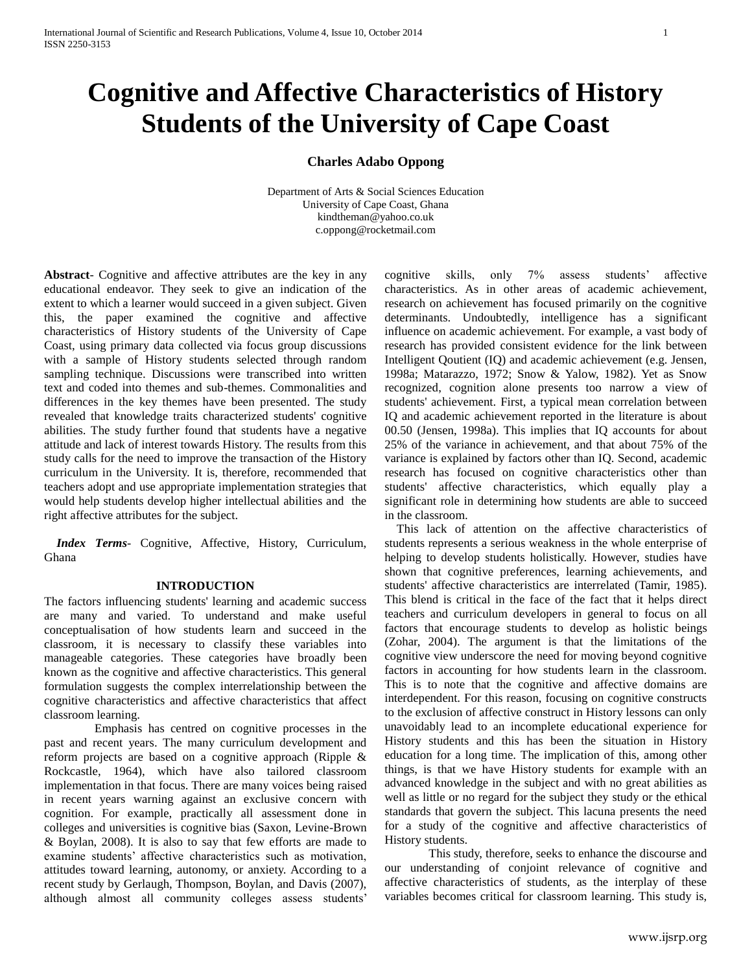# **Cognitive and Affective Characteristics of History Students of the University of Cape Coast**

## **Charles Adabo Oppong**

Department of Arts & Social Sciences Education University of Cape Coast, Ghana [kindtheman@yahoo.co.uk](mailto:kindtheman@yahoo.co.uk) c.oppong@rocketmail.com

**Abstract**- Cognitive and affective attributes are the key in any educational endeavor. They seek to give an indication of the extent to which a learner would succeed in a given subject. Given this, the paper examined the cognitive and affective characteristics of History students of the University of Cape Coast, using primary data collected via focus group discussions with a sample of History students selected through random sampling technique. Discussions were transcribed into written text and coded into themes and sub-themes. Commonalities and differences in the key themes have been presented. The study revealed that knowledge traits characterized students' cognitive abilities. The study further found that students have a negative attitude and lack of interest towards History. The results from this study calls for the need to improve the transaction of the History curriculum in the University. It is, therefore, recommended that teachers adopt and use appropriate implementation strategies that would help students develop higher intellectual abilities and the right affective attributes for the subject.

 *Index Terms*- Cognitive, Affective, History, Curriculum, Ghana

#### **INTRODUCTION**

The factors influencing students' learning and academic success are many and varied. To understand and make useful conceptualisation of how students learn and succeed in the classroom, it is necessary to classify these variables into manageable categories. These categories have broadly been known as the cognitive and affective characteristics. This general formulation suggests the complex interrelationship between the cognitive characteristics and affective characteristics that affect classroom learning.

 Emphasis has centred on cognitive processes in the past and recent years. The many curriculum development and reform projects are based on a cognitive approach (Ripple & Rockcastle, 1964), which have also tailored classroom implementation in that focus. There are many voices being raised in recent years warning against an exclusive concern with cognition. For example, practically all assessment done in colleges and universities is cognitive bias (Saxon, Levine-Brown & Boylan, 2008). It is also to say that few efforts are made to examine students' affective characteristics such as motivation, attitudes toward learning, autonomy, or anxiety. According to a recent study by Gerlaugh, Thompson, Boylan, and Davis (2007), although almost all community colleges assess students'

cognitive skills, only 7% assess students' affective characteristics. As in other areas of academic achievement, research on achievement has focused primarily on the cognitive determinants. Undoubtedly, intelligence has a significant influence on academic achievement. For example, a vast body of research has provided consistent evidence for the link between Intelligent Qoutient (IQ) and academic achievement (e.g. Jensen, 1998a; Matarazzo, 1972; Snow & Yalow, 1982). Yet as Snow recognized, cognition alone presents too narrow a view of students' achievement. First, a typical mean correlation between IQ and academic achievement reported in the literature is about 00.50 (Jensen, 1998a). This implies that IQ accounts for about 25% of the variance in achievement, and that about 75% of the variance is explained by factors other than IQ. Second, academic research has focused on cognitive characteristics other than students' affective characteristics, which equally play a significant role in determining how students are able to succeed in the classroom.

 This lack of attention on the affective characteristics of students represents a serious weakness in the whole enterprise of helping to develop students holistically. However, studies have shown that cognitive preferences, learning achievements, and students' affective characteristics are interrelated (Tamir, 1985). This blend is critical in the face of the fact that it helps direct teachers and curriculum developers in general to focus on all factors that encourage students to develop as holistic beings (Zohar, 2004). The argument is that the limitations of the cognitive view underscore the need for moving beyond cognitive factors in accounting for how students learn in the classroom. This is to note that the cognitive and affective domains are interdependent. For this reason, focusing on cognitive constructs to the exclusion of affective construct in History lessons can only unavoidably lead to an incomplete educational experience for History students and this has been the situation in History education for a long time. The implication of this, among other things, is that we have History students for example with an advanced knowledge in the subject and with no great abilities as well as little or no regard for the subject they study or the ethical standards that govern the subject. This lacuna presents the need for a study of the cognitive and affective characteristics of History students.

This study, therefore, seeks to enhance the discourse and our understanding of conjoint relevance of cognitive and affective characteristics of students, as the interplay of these variables becomes critical for classroom learning. This study is,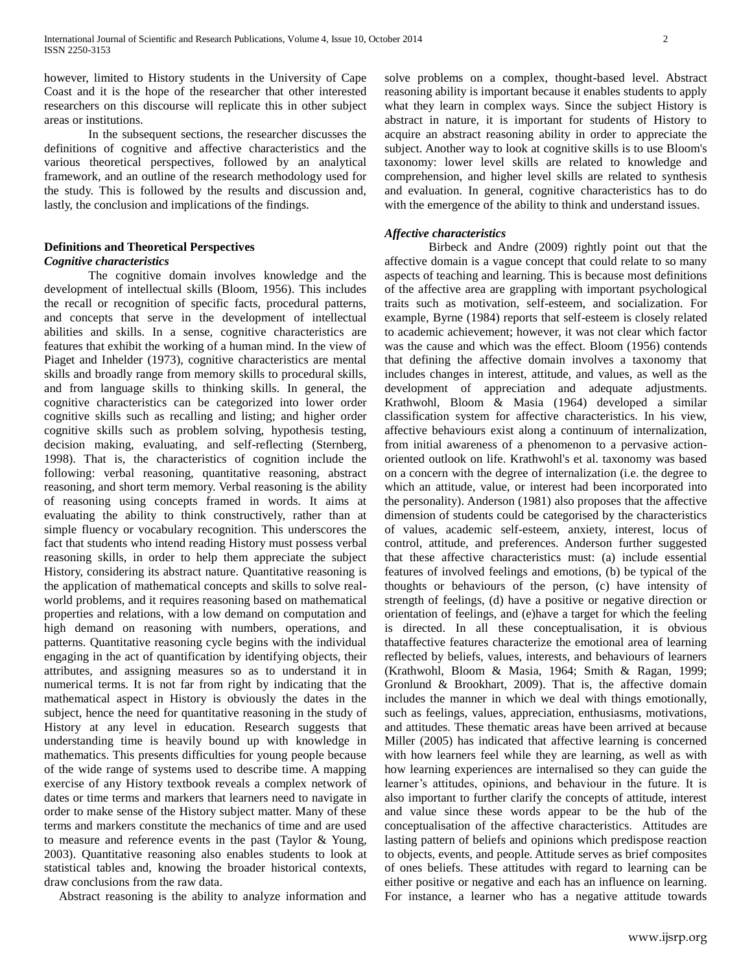however, limited to History students in the University of Cape Coast and it is the hope of the researcher that other interested researchers on this discourse will replicate this in other subject areas or institutions.

In the subsequent sections, the researcher discusses the definitions of cognitive and affective characteristics and the various theoretical perspectives, followed by an analytical framework, and an outline of the research methodology used for the study. This is followed by the results and discussion and, lastly, the conclusion and implications of the findings.

## **Definitions and Theoretical Perspectives** *Cognitive characteristics*

The cognitive domain involves knowledge and the development of intellectual skills (Bloom, 1956). This includes the recall or recognition of specific facts, procedural patterns, and concepts that serve in the development of intellectual abilities and skills. In a sense, cognitive characteristics are features that exhibit the working of a human mind. In the view of Piaget and Inhelder (1973), cognitive characteristics are mental skills and broadly range from memory skills to procedural skills, and from language skills to thinking skills. In general, the cognitive characteristics can be categorized into lower order cognitive skills such as recalling and listing; and higher order cognitive skills such as problem solving, hypothesis testing, decision making, evaluating, and self-reflecting (Sternberg, 1998). That is, the characteristics of cognition include the following: verbal reasoning, quantitative reasoning, abstract reasoning, and short term memory. Verbal reasoning is the ability of reasoning using concepts framed in words. It aims at evaluating the ability to think constructively, rather than at simple fluency or vocabulary recognition. This underscores the fact that students who intend reading History must possess verbal reasoning skills, in order to help them appreciate the subject History, considering its abstract nature. Quantitative reasoning is the application of mathematical concepts and skills to solve realworld problems, and it requires reasoning based on mathematical properties and relations, with a low demand on computation and high demand on reasoning with numbers, operations, and patterns. Quantitative reasoning cycle begins with the individual engaging in the act of quantification by identifying objects, their attributes, and assigning measures so as to understand it in numerical terms. It is not far from right by indicating that the mathematical aspect in History is obviously the dates in the subject, hence the need for quantitative reasoning in the study of History at any level in education. Research suggests that understanding time is heavily bound up with knowledge in mathematics. This presents difficulties for young people because of the wide range of systems used to describe time. A mapping exercise of any History textbook reveals a complex network of dates or time terms and markers that learners need to navigate in order to make sense of the History subject matter. Many of these terms and markers constitute the mechanics of time and are used to measure and reference events in the past (Taylor & Young, 2003). Quantitative reasoning also enables students to look at statistical tables and, knowing the broader historical contexts, draw conclusions from the raw data.

Abstract reasoning is the ability to analyze information and

solve problems on a complex, thought-based level. Abstract reasoning ability is important because it enables students to apply what they learn in complex ways. Since the subject History is abstract in nature, it is important for students of History to acquire an abstract reasoning ability in order to appreciate the subject. Another way to look at cognitive skills is to use Bloom's taxonomy: lower level skills are related to knowledge and comprehension, and higher level skills are related to synthesis and evaluation. In general, cognitive characteristics has to do with the emergence of the ability to think and understand issues.

## *Affective characteristics*

Birbeck and Andre (2009) rightly point out that the affective domain is a vague concept that could relate to so many aspects of teaching and learning. This is because most definitions of the affective area are grappling with important psychological traits such as motivation, self-esteem, and socialization. For example, Byrne [\(1984\)](http://scholar.lib.vt.edu/ejournals/JITE/v34n4/html/mcnabb.html) reports that self-esteem is closely related to academic achievement; however, it was not clear which factor was the cause and which was the effect. Bloom [\(1956\)](http://scholar.lib.vt.edu/ejournals/JITE/v34n4/html/mcnabb.html) contends that defining the affective domain involves a taxonomy that includes changes in interest, attitude, and values, as well as the development of appreciation and adequate adjustments. Krathwohl, Bloom & Masia [\(1964\)](http://scholar.lib.vt.edu/ejournals/JITE/v34n4/html/mcnabb.html) developed a similar classification system for affective characteristics. In his view, affective behaviours exist along a continuum of internalization, from initial awareness of a phenomenon to a pervasive actionoriented outlook on life. Krathwohl's et al. taxonomy was based on a concern with the degree of internalization (i.e. the degree to which an attitude, value, or interest had been incorporated into the personality). Anderson [\(1981\)](http://scholar.lib.vt.edu/ejournals/JITE/v34n4/html/mcnabb.html) also proposes that the affective dimension of students could be categorised by the characteristics of values, academic self-esteem, anxiety, interest, locus of control, attitude, and preferences. Anderson further suggested that these affective characteristics must: (a) include essential features of involved feelings and emotions, (b) be typical of the thoughts or behaviours of the person, (c) have intensity of strength of feelings, (d) have a positive or negative direction or orientation of feelings, and (e)have a target for which the feeling is directed. In all these conceptualisation, it is obvious thataffective features characterize the emotional area of learning reflected by beliefs, values, interests, and behaviours of learners (Krathwohl, Bloom & Masia, 1964; Smith & Ragan, 1999; Gronlund & Brookhart, 2009). That is, the affective domain includes the manner in which we deal with things emotionally, such as feelings, values, appreciation, enthusiasms, motivations, and attitudes. These thematic areas have been arrived at because Miller (2005) has indicated that affective learning is concerned with how learners feel while they are learning, as well as with how learning experiences are internalised so they can guide the learner's attitudes, opinions, and behaviour in the future. It is also important to further clarify the concepts of attitude, interest and value since these words appear to be the hub of the conceptualisation of the affective characteristics. Attitudes are lasting pattern of beliefs and opinions which predispose reaction to objects, events, and people. Attitude serves as brief composites of ones beliefs. These attitudes with regard to learning can be either positive or negative and each has an influence on learning. For instance, a learner who has a negative attitude towards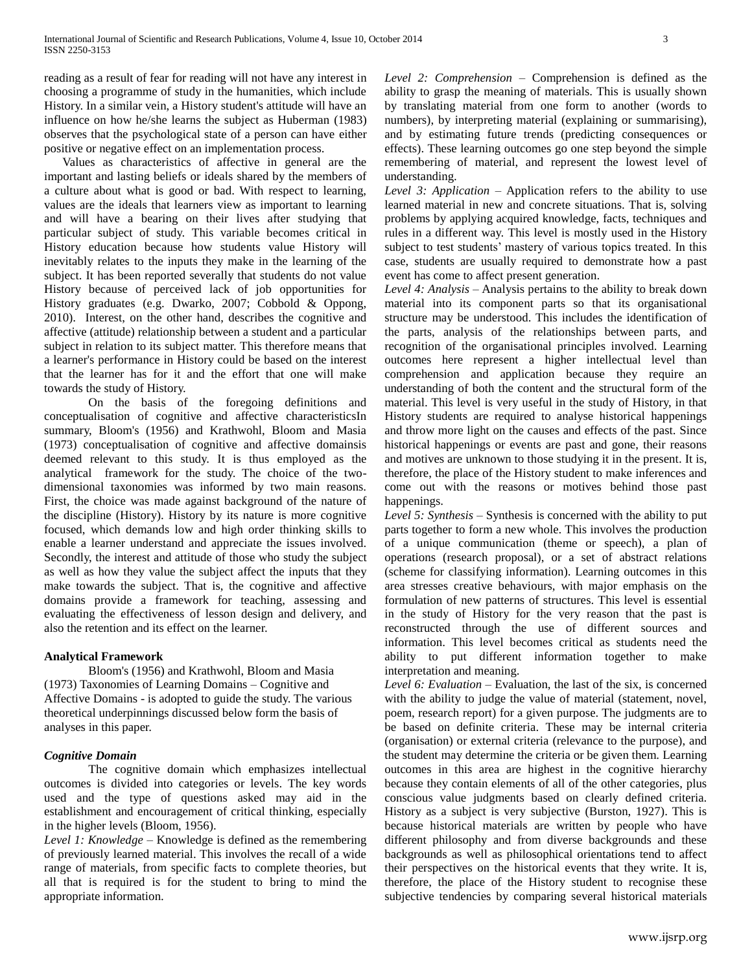reading as a result of fear for reading will not have any interest in choosing a programme of study in the humanities, which include History. In a similar vein, a History student's attitude will have an influence on how he/she learns the subject as Huberman (1983) observes that the psychological state of a person can have either positive or negative effect on an implementation process.

 Values as characteristics of affective in general are the important and lasting beliefs or ideals shared by the members of a culture about what is good or bad. With respect to learning, values are the ideals that learners view as important to learning and will have a bearing on their lives after studying that particular subject of study. This variable becomes critical in History education because how students value History will inevitably relates to the inputs they make in the learning of the subject. It has been reported severally that students do not value History because of perceived lack of job opportunities for History graduates (e.g. Dwarko, 2007; Cobbold & Oppong, 2010). Interest, on the other hand, describes the cognitive and affective (attitude) relationship between a student and a particular subject in relation to its subject matter. This therefore means that a learner's performance in History could be based on the interest that the learner has for it and the effort that one will make towards the study of History.

On the basis of the foregoing definitions and conceptualisation of cognitive and affective characteristicsIn summary, Bloom's (1956) and Krathwohl, Bloom and Masia (1973) conceptualisation of cognitive and affective domainsis deemed relevant to this study. It is thus employed as the analytical framework for the study. The choice of the twodimensional taxonomies was informed by two main reasons. First, the choice was made against background of the nature of the discipline (History). History by its nature is more cognitive focused, which demands low and high order thinking skills to enable a learner understand and appreciate the issues involved. Secondly, the interest and attitude of those who study the subject as well as how they value the subject affect the inputs that they make towards the subject. That is, the cognitive and affective domains provide a framework for teaching, assessing and evaluating the effectiveness of lesson design and delivery, and also the retention and its effect on the learner.

## **Analytical Framework**

Bloom's (1956) and Krathwohl, Bloom and Masia (1973) Taxonomies of Learning Domains – Cognitive and Affective Domains - is adopted to guide the study. The various theoretical underpinnings discussed below form the basis of analyses in this paper.

# *Cognitive Domain*

The cognitive domain which emphasizes intellectual outcomes is divided into categories or levels. The key words used and the type of questions asked may aid in the establishment and encouragement of critical thinking, especially in the higher levels (Bloom, 1956).

*Level 1: Knowledge* – Knowledge is defined as the remembering of previously learned material. This involves the recall of a wide range of materials, from specific facts to complete theories, but all that is required is for the student to bring to mind the appropriate information.

*Level 2: Comprehension* – Comprehension is defined as the ability to grasp the meaning of materials. This is usually shown by translating material from one form to another (words to numbers), by interpreting material (explaining or summarising), and by estimating future trends (predicting consequences or effects). These learning outcomes go one step beyond the simple remembering of material, and represent the lowest level of understanding.

*Level 3: Application* – Application refers to the ability to use learned material in new and concrete situations. That is, solving problems by applying acquired knowledge, facts, techniques and rules in a different way. This level is mostly used in the History subject to test students' mastery of various topics treated. In this case, students are usually required to demonstrate how a past event has come to affect present generation.

*Level 4: Analysis* – Analysis pertains to the ability to break down material into its component parts so that its organisational structure may be understood. This includes the identification of the parts, analysis of the relationships between parts, and recognition of the organisational principles involved. Learning outcomes here represent a higher intellectual level than comprehension and application because they require an understanding of both the content and the structural form of the material. This level is very useful in the study of History, in that History students are required to analyse historical happenings and throw more light on the causes and effects of the past. Since historical happenings or events are past and gone, their reasons and motives are unknown to those studying it in the present. It is, therefore, the place of the History student to make inferences and come out with the reasons or motives behind those past happenings.

*Level 5: Synthesis –* Synthesis is concerned with the ability to put parts together to form a new whole. This involves the production of a unique communication (theme or speech), a plan of operations (research proposal), or a set of abstract relations (scheme for classifying information). Learning outcomes in this area stresses creative behaviours, with major emphasis on the formulation of new patterns of structures. This level is essential in the study of History for the very reason that the past is reconstructed through the use of different sources and information. This level becomes critical as students need the ability to put different information together to make interpretation and meaning.

*Level 6: Evaluation* – Evaluation, the last of the six, is concerned with the ability to judge the value of material (statement, novel, poem, research report) for a given purpose. The judgments are to be based on definite criteria. These may be internal criteria (organisation) or external criteria (relevance to the purpose), and the student may determine the criteria or be given them. Learning outcomes in this area are highest in the cognitive hierarchy because they contain elements of all of the other categories, plus conscious value judgments based on clearly defined criteria. History as a subject is very subjective (Burston, 1927). This is because historical materials are written by people who have different philosophy and from diverse backgrounds and these backgrounds as well as philosophical orientations tend to affect their perspectives on the historical events that they write. It is, therefore, the place of the History student to recognise these subjective tendencies by comparing several historical materials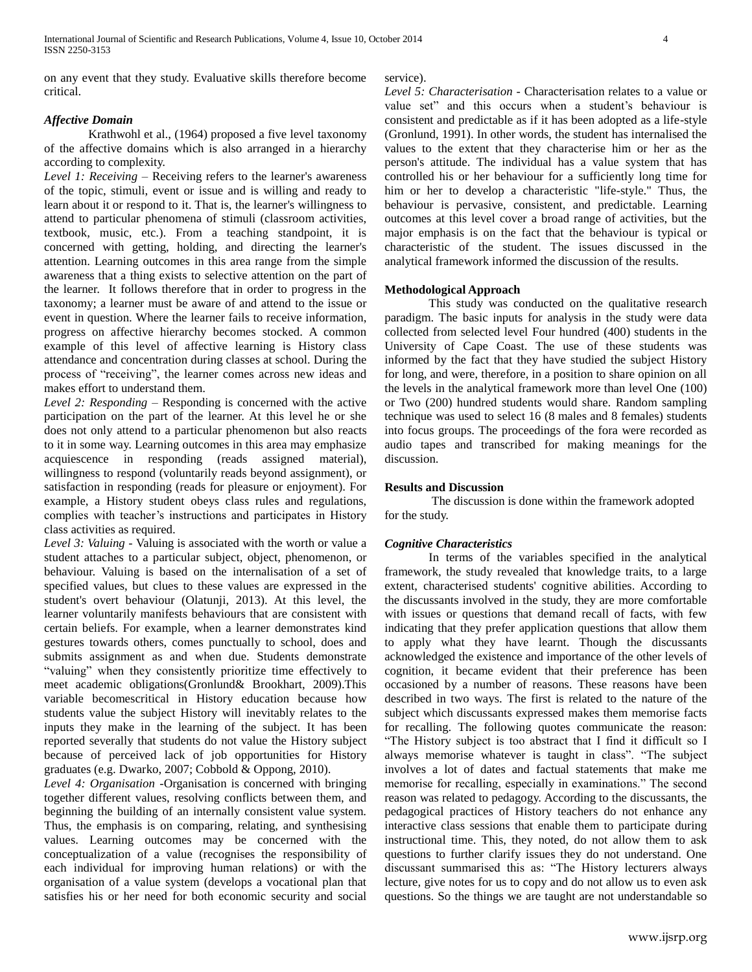on any event that they study. Evaluative skills therefore become critical.

## *Affective Domain*

Krathwohl et al., (1964) proposed a five level taxonomy of the affective domains which is also arranged in a hierarchy according to complexity.

*Level 1: Receiving –* Receiving refers to the learner's awareness of the topic, stimuli, event or issue and is willing and ready to learn about it or respond to it. That is, the learner's willingness to attend to particular phenomena of stimuli (classroom activities, textbook, music, etc.). From a teaching standpoint, it is concerned with getting, holding, and directing the learner's attention. Learning outcomes in this area range from the simple awareness that a thing exists to selective attention on the part of the learner. It follows therefore that in order to progress in the taxonomy; a learner must be aware of and attend to the issue or event in question. Where the learner fails to receive information, progress on affective hierarchy becomes stocked. A common example of this level of affective learning is History class attendance and concentration during classes at school. During the process of "receiving", the learner comes across new ideas and makes effort to understand them.

*Level 2: Responding –* Responding is concerned with the active participation on the part of the learner. At this level he or she does not only attend to a particular phenomenon but also reacts to it in some way. Learning outcomes in this area may emphasize acquiescence in responding (reads assigned material), willingness to respond (voluntarily reads beyond assignment), or satisfaction in responding (reads for pleasure or enjoyment). For example, a History student obeys class rules and regulations, complies with teacher's instructions and participates in History class activities as required.

*Level 3: Valuing -* Valuing is associated with the worth or value a student attaches to a particular subject, object, phenomenon, or behaviour. Valuing is based on the internalisation of a set of specified values, but clues to these values are expressed in the student's overt behaviour (Olatunji, 2013). At this level, the learner voluntarily manifests behaviours that are consistent with certain beliefs. For example, when a learner demonstrates kind gestures towards others, comes punctually to school, does and submits assignment as and when due. Students demonstrate "valuing" when they consistently prioritize time effectively to meet academic obligations(Gronlund& Brookhart, 2009).This variable becomescritical in History education because how students value the subject History will inevitably relates to the inputs they make in the learning of the subject. It has been reported severally that students do not value the History subject because of perceived lack of job opportunities for History graduates (e.g. Dwarko, 2007; Cobbold & Oppong, 2010).

*Level 4: Organisation -*Organisation is concerned with bringing together different values, resolving conflicts between them, and beginning the building of an internally consistent value system. Thus, the emphasis is on comparing, relating, and synthesising values. Learning outcomes may be concerned with the conceptualization of a value (recognises the responsibility of each individual for improving human relations) or with the organisation of a value system (develops a vocational plan that satisfies his or her need for both economic security and social

#### service).

*Level 5: Characterisation -* Characterisation relates to a value or value set" and this occurs when a student's behaviour is consistent and predictable as if it has been adopted as a life-style (Gronlund, 1991). In other words, the student has internalised the values to the extent that they characterise him or her as the person's attitude. The individual has a value system that has controlled his or her behaviour for a sufficiently long time for him or her to develop a characteristic "life-style." Thus, the behaviour is pervasive, consistent, and predictable. Learning outcomes at this level cover a broad range of activities, but the major emphasis is on the fact that the behaviour is typical or characteristic of the student. The issues discussed in the analytical framework informed the discussion of the results.

## **Methodological Approach**

This study was conducted on the qualitative research paradigm. The basic inputs for analysis in the study were data collected from selected level Four hundred (400) students in the University of Cape Coast. The use of these students was informed by the fact that they have studied the subject History for long, and were, therefore, in a position to share opinion on all the levels in the analytical framework more than level One (100) or Two (200) hundred students would share. Random sampling technique was used to select 16 (8 males and 8 females) students into focus groups. The proceedings of the fora were recorded as audio tapes and transcribed for making meanings for the discussion.

## **Results and Discussion**

The discussion is done within the framework adopted for the study.

# *Cognitive Characteristics*

In terms of the variables specified in the analytical framework, the study revealed that knowledge traits, to a large extent, characterised students' cognitive abilities. According to the discussants involved in the study, they are more comfortable with issues or questions that demand recall of facts, with few indicating that they prefer application questions that allow them to apply what they have learnt. Though the discussants acknowledged the existence and importance of the other levels of cognition, it became evident that their preference has been occasioned by a number of reasons. These reasons have been described in two ways. The first is related to the nature of the subject which discussants expressed makes them memorise facts for recalling. The following quotes communicate the reason: "The History subject is too abstract that I find it difficult so I always memorise whatever is taught in class". "The subject involves a lot of dates and factual statements that make me memorise for recalling, especially in examinations." The second reason was related to pedagogy. According to the discussants, the pedagogical practices of History teachers do not enhance any interactive class sessions that enable them to participate during instructional time. This, they noted, do not allow them to ask questions to further clarify issues they do not understand. One discussant summarised this as: "The History lecturers always lecture, give notes for us to copy and do not allow us to even ask questions. So the things we are taught are not understandable so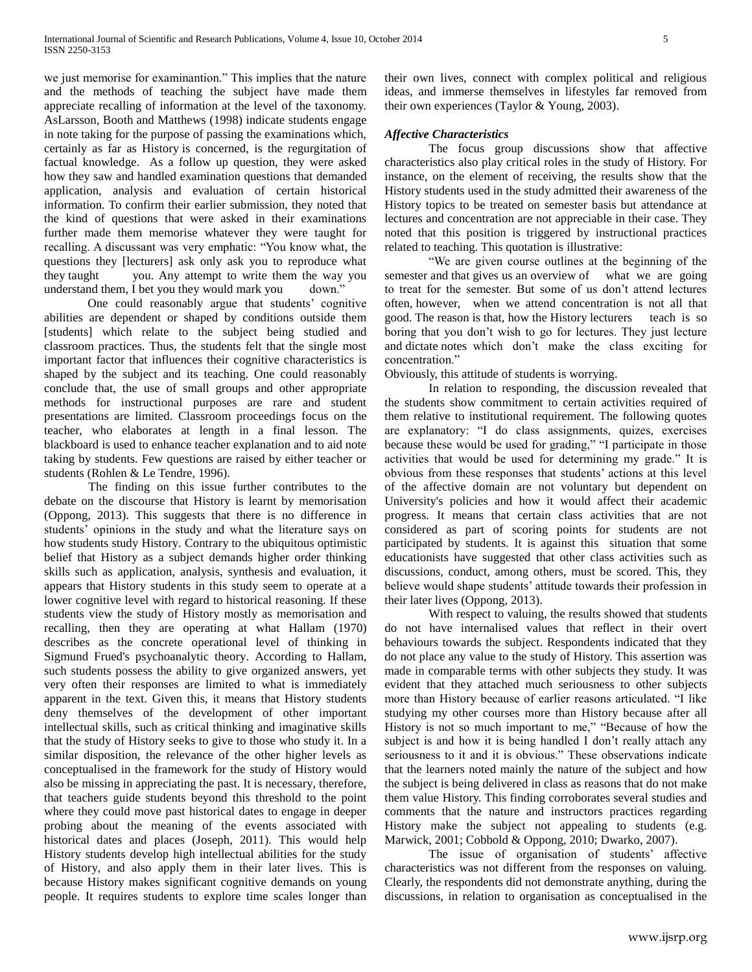we just memorise for examinantion." This implies that the nature and the methods of teaching the subject have made them appreciate recalling of information at the level of the taxonomy. AsLarsson, Booth and Matthews (1998) indicate students engage in note taking for the purpose of passing the examinations which, certainly as far as History is concerned, is the regurgitation of factual knowledge. As a follow up question, they were asked how they saw and handled examination questions that demanded application, analysis and evaluation of certain historical information. To confirm their earlier submission, they noted that the kind of questions that were asked in their examinations further made them memorise whatever they were taught for recalling. A discussant was very emphatic: "You know what, the questions they [lecturers] ask only ask you to reproduce what they taught you. Any attempt to write them the way you understand them, I bet you they would mark you down."

One could reasonably argue that students' cognitive abilities are dependent or shaped by conditions outside them [students] which relate to the subject being studied and classroom practices. Thus, the students felt that the single most important factor that influences their cognitive characteristics is shaped by the subject and its teaching. One could reasonably conclude that, the use of small groups and other appropriate methods for instructional purposes are rare and student presentations are limited. Classroom proceedings focus on the teacher, who elaborates at length in a final lesson. The blackboard is used to enhance teacher explanation and to aid note taking by students. Few questions are raised by either teacher or students (Rohlen & Le Tendre, 1996).

The finding on this issue further contributes to the debate on the discourse that History is learnt by memorisation (Oppong, 2013). This suggests that there is no difference in students' opinions in the study and what the literature says on how students study History. Contrary to the ubiquitous optimistic belief that History as a subject demands higher order thinking skills such as application, analysis, synthesis and evaluation, it appears that History students in this study seem to operate at a lower cognitive level with regard to historical reasoning. If these students view the study of History mostly as memorisation and recalling, then they are operating at what Hallam (1970) describes as the concrete operational level of thinking in Sigmund Frued's psychoanalytic theory. According to Hallam, such students possess the ability to give organized answers, yet very often their responses are limited to what is immediately apparent in the text. Given this, it means that History students deny themselves of the development of other important intellectual skills, such as critical thinking and imaginative skills that the study of History seeks to give to those who study it. In a similar disposition, the relevance of the other higher levels as conceptualised in the framework for the study of History would also be missing in appreciating the past. It is necessary, therefore, that teachers guide students beyond this threshold to the point where they could move past historical dates to engage in deeper probing about the meaning of the events associated with historical dates and places (Joseph, 2011). This would help History students develop high intellectual abilities for the study of History, and also apply them in their later lives. This is because History makes significant cognitive demands on young people. It requires students to explore time scales longer than

their own lives, connect with complex political and religious ideas, and immerse themselves in lifestyles far removed from their own experiences (Taylor & Young, 2003).

## *Affective Characteristics*

The focus group discussions show that affective characteristics also play critical roles in the study of History. For instance, on the element of receiving, the results show that the History students used in the study admitted their awareness of the History topics to be treated on semester basis but attendance at lectures and concentration are not appreciable in their case. They noted that this position is triggered by instructional practices related to teaching. This quotation is illustrative:

"We are given course outlines at the beginning of the semester and that gives us an overview of what we are going to treat for the semester. But some of us don't attend lectures often, however, when we attend concentration is not all that good. The reason is that, how the History lecturers teach is so boring that you don't wish to go for lectures. They just lecture and dictate notes which don't make the class exciting for concentration."

Obviously, this attitude of students is worrying.

In relation to responding, the discussion revealed that the students show commitment to certain activities required of them relative to institutional requirement. The following quotes are explanatory: "I do class assignments, quizes, exercises because these would be used for grading," "I participate in those activities that would be used for determining my grade." It is obvious from these responses that students' actions at this level of the affective domain are not voluntary but dependent on University's policies and how it would affect their academic progress. It means that certain class activities that are not considered as part of scoring points for students are not participated by students. It is against this situation that some educationists have suggested that other class activities such as discussions, conduct, among others, must be scored. This, they believe would shape students' attitude towards their profession in their later lives (Oppong, 2013).

With respect to valuing, the results showed that students do not have internalised values that reflect in their overt behaviours towards the subject. Respondents indicated that they do not place any value to the study of History. This assertion was made in comparable terms with other subjects they study. It was evident that they attached much seriousness to other subjects more than History because of earlier reasons articulated. "I like studying my other courses more than History because after all History is not so much important to me," "Because of how the subject is and how it is being handled I don't really attach any seriousness to it and it is obvious." These observations indicate that the learners noted mainly the nature of the subject and how the subject is being delivered in class as reasons that do not make them value History. This finding corroborates several studies and comments that the nature and instructors practices regarding History make the subject not appealing to students (e.g. Marwick, 2001; Cobbold & Oppong, 2010; Dwarko, 2007).

The issue of organisation of students' affective characteristics was not different from the responses on valuing. Clearly, the respondents did not demonstrate anything, during the discussions, in relation to organisation as conceptualised in the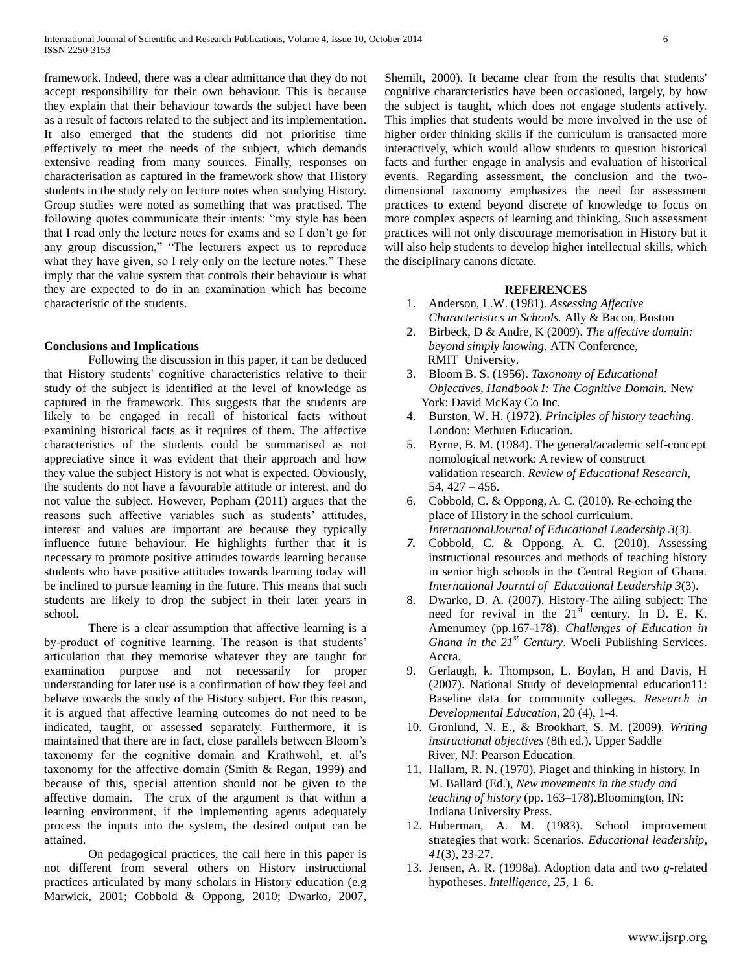framework. Indeed, there was a clear admittance that they do not accept responsibility for their own behaviour. This is because they explain that their behaviour towards the subject have been as a result of factors related to the subject and its implementation. It also emerged that the students did not prioritise time effectively to meet the needs of the subject, which demands extensive reading from many sources. Finally, responses on characterisation as captured in the framework show that History students in the study rely on lecture notes when studying History. Group studies were noted as something that was practised. The following quotes communicate their intents: "my style has been that I read only the lecture notes for exams and so I don't go for any group discussion," "The lecturers expect us to reproduce what they have given, so I rely only on the lecture notes." These imply that the value system that controls their behaviour is what they are expected to do in an examination which has become characteristic of the students.

#### **Conclusions and Implications**

Following the discussion in this paper, it can be deduced that History students' cognitive characteristics relative to their study of the subject is identified at the level of knowledge as captured in the framework. This suggests that the students are likely to be engaged in recall of historical facts without examining historical facts as it requires of them. The affective characteristics of the students could be summarised as not appreciative since it was evident that their approach and how they value the subject History is not what is expected. Obviously, the students do not have a favourable attitude or interest, and do not value the subject. However, Popham (2011) argues that the reasons such affective variables such as students' attitudes, interest and values are important are because they typically influence future behaviour. He highlights further that it is necessary to promote positive attitudes towards learning because students who have positive attitudes towards learning today will be inclined to pursue learning in the future. This means that such students are likely to drop the subject in their later years in school.

There is a clear assumption that affective learning is a by-product of cognitive learning. The reason is that students' articulation that they memorise whatever they are taught for examination purpose and not necessarily for proper understanding for later use is a confirmation of how they feel and behave towards the study of the History subject. For this reason, it is argued that affective learning outcomes do not need to be indicated, taught, or assessed separately. Furthermore, it is maintained that there are in fact, close parallels between Bloom's taxonomy for the cognitive domain and Krathwohl, et. al's taxonomy for the affective domain (Smith & Regan, 1999) and because of this, special attention should not be given to the affective domain. The crux of the argument is that within a learning environment, if the implementing agents adequately process the inputs into the system, the desired output can be attained.

On pedagogical practices, the call here in this paper is not different from several others on History instructional practices articulated by many scholars in History education (e.g Marwick, 2001; Cobbold & Oppong, 2010; Dwarko, 2007,

Shemilt, 2000). It became clear from the results that students' cognitive chararcteristics have been occasioned, largely, by how the subject is taught, which does not engage students actively. This implies that students would be more involved in the use of higher order thinking skills if the curriculum is transacted more interactively, which would allow students to question historical facts and further engage in analysis and evaluation of historical events. Regarding assessment, the conclusion and the twodimensional taxonomy emphasizes the need for assessment practices to extend beyond discrete of knowledge to focus on more complex aspects of learning and thinking. Such assessment practices will not only discourage memorisation in History but it will also help students to develop higher intellectual skills, which the disciplinary canons dictate.

## **REFERENCES**

- 1. Anderson, L.W. (1981). *Assessing Affective Characteristics in Schools.* Ally & Bacon, Boston
- 2. Birbeck, D & Andre, K (2009). *The affective domain: beyond simply knowing*. ATN Conference, RMIT University.
- 3. Bloom B. S. (1956). *Taxonomy of Educational Objectives, Handbook I: The Cognitive Domain.* New York: David McKay Co Inc.
- 4. Burston, W. H. (1972). *Principles of history teaching.* London: Methuen Education.
- 5. Byrne, B. M. (1984). The general/academic self-concept nomological network: A review of construct validation research. *Review of Educational Research,* 54, 427 – 456.
- 6. Cobbold, C. & Oppong, A. C. (2010). Re-echoing the place of History in the school curriculum. *InternationalJournal of Educational Leadership 3(3).*
- *7.* Cobbold, C. & Oppong, A. C. (2010). Assessing instructional resources and methods of teaching history in senior high schools in the Central Region of Ghana. *International Journal of Educational Leadership 3*(3).
- 8. Dwarko, D. A. (2007). History-The ailing subject: The need for revival in the  $21<sup>st</sup>$  century. In D. E. K. Amenumey (pp.167-178). *Challenges of Education in Ghana in the 21st Century*. Woeli Publishing Services. Accra.
- 9. Gerlaugh, k. Thompson, L. Boylan, H and Davis, H (2007). National Study of developmental education11: Baseline data for community colleges. *Research in Developmental Education*, 20 (4), 1-4.
- 10. Gronlund, N. E., & Brookhart, S. M. (2009). *Writing instructional objectives* (8th ed.). Upper Saddle River, NJ: Pearson Education.
- 11. Hallam, R. N. (1970). Piaget and thinking in history. In M. Ballard (Ed.), *New movements in the study and teaching of history* (pp. 163–178).Bloomington, IN: Indiana University Press.
- 12. Huberman, A. M. (1983). School improvement strategies that work: Scenarios. *Educational leadership*, *41*(3), 23-27.
- 13. Jensen, A. R. (1998a). Adoption data and two *g*-related hypotheses. *Intelligence, 25,* 1–6.